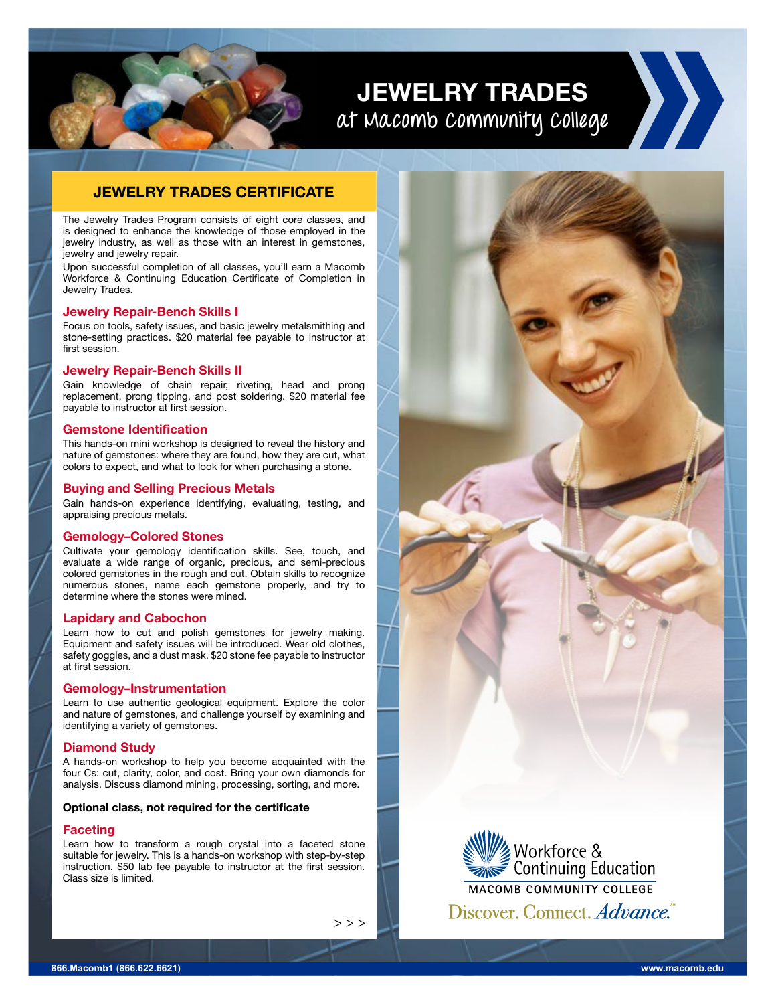**JEWELRY TRADES at Macomb Community College**

### **JEWELRY TRADES CERTIFICATE**

The Jewelry Trades Program consists of eight core classes, and is designed to enhance the knowledge of those employed in the jewelry industry, as well as those with an interest in gemstones, jewelry and jewelry repair.

Upon successful completion of all classes, you'll earn a Macomb Workforce & Continuing Education Certificate of Completion in Jewelry Trades.

#### **Jewelry Repair-Bench Skills I**

Focus on tools, safety issues, and basic jewelry metalsmithing and stone-setting practices. \$20 material fee payable to instructor at first session.

#### **Jewelry Repair-Bench Skills II**

Gain knowledge of chain repair, riveting, head and prong replacement, prong tipping, and post soldering. \$20 material fee payable to instructor at first session.

#### **Gemstone Identification**

This hands-on mini workshop is designed to reveal the history and nature of gemstones: where they are found, how they are cut, what colors to expect, and what to look for when purchasing a stone.

#### **Buying and Selling Precious Metals**

Gain hands-on experience identifying, evaluating, testing, and appraising precious metals.

#### **Gemology–Colored Stones**

Cultivate your gemology identification skills. See, touch, and evaluate a wide range of organic, precious, and semi-precious colored gemstones in the rough and cut. Obtain skills to recognize numerous stones, name each gemstone properly, and try to determine where the stones were mined.

#### **Lapidary and Cabochon**

Learn how to cut and polish gemstones for jewelry making. Equipment and safety issues will be introduced. Wear old clothes, safety goggles, and a dust mask. \$20 stone fee payable to instructor at first session.

#### **Gemology–Instrumentation**

Learn to use authentic geological equipment. Explore the color and nature of gemstones, and challenge yourself by examining and identifying a variety of gemstones.

#### **Diamond Study**

A hands-on workshop to help you become acquainted with the four Cs: cut, clarity, color, and cost. Bring your own diamonds for analysis. Discuss diamond mining, processing, sorting, and more.

#### **Optional class, not required for the certificate**

#### **Faceting**

Learn how to transform a rough crystal into a faceted stone suitable for jewelry. This is a hands-on workshop with step-by-step instruction. \$50 lab fee payable to instructor at the first session. Class size is limited.

We Workforce &<br>Example 2011 Continuing Education **MACOMB COMMUNITY COLLEGE** Discover. Connect. Advance.